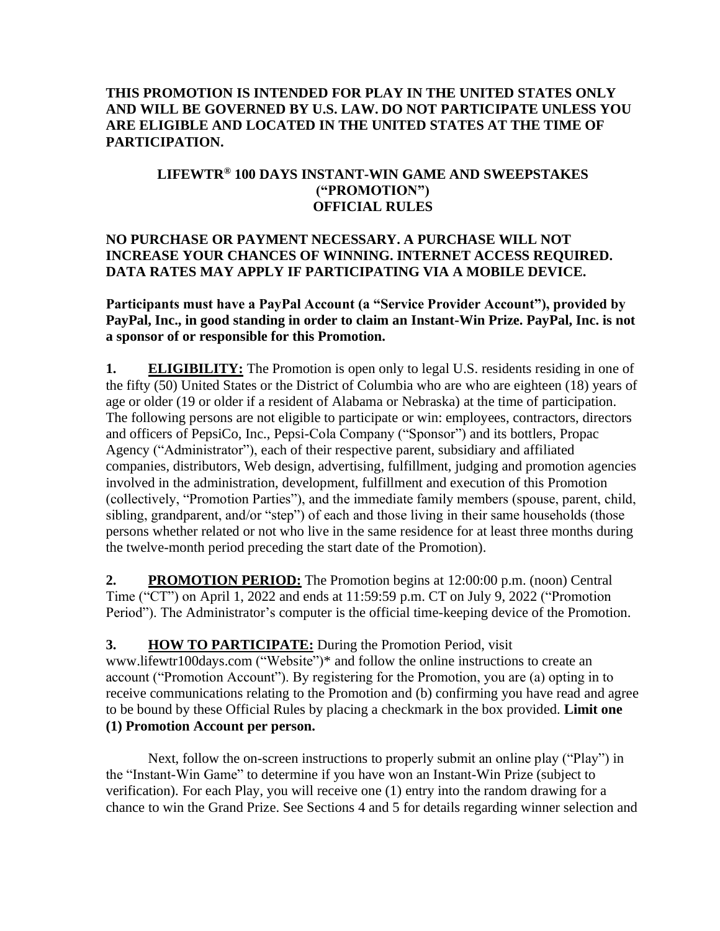### **THIS PROMOTION IS INTENDED FOR PLAY IN THE UNITED STATES ONLY AND WILL BE GOVERNED BY U.S. LAW. DO NOT PARTICIPATE UNLESS YOU ARE ELIGIBLE AND LOCATED IN THE UNITED STATES AT THE TIME OF PARTICIPATION.**

### **LIFEWTR® 100 DAYS INSTANT-WIN GAME AND SWEEPSTAKES ("PROMOTION") OFFICIAL RULES**

### **NO PURCHASE OR PAYMENT NECESSARY. A PURCHASE WILL NOT INCREASE YOUR CHANCES OF WINNING. INTERNET ACCESS REQUIRED. DATA RATES MAY APPLY IF PARTICIPATING VIA A MOBILE DEVICE.**

**Participants must have a PayPal Account (a "Service Provider Account"), provided by PayPal, Inc., in good standing in order to claim an Instant-Win Prize. PayPal, Inc. is not a sponsor of or responsible for this Promotion.**

**1. ELIGIBILITY:** The Promotion is open only to legal U.S. residents residing in one of the fifty (50) United States or the District of Columbia who are who are eighteen (18) years of age or older (19 or older if a resident of Alabama or Nebraska) at the time of participation. The following persons are not eligible to participate or win: employees, contractors, directors and officers of PepsiCo, Inc., Pepsi-Cola Company ("Sponsor") and its bottlers, Propac Agency ("Administrator"), each of their respective parent, subsidiary and affiliated companies, distributors, Web design, advertising, fulfillment, judging and promotion agencies involved in the administration, development, fulfillment and execution of this Promotion (collectively, "Promotion Parties"), and the immediate family members (spouse, parent, child, sibling, grandparent, and/or "step") of each and those living in their same households (those persons whether related or not who live in the same residence for at least three months during the twelve-month period preceding the start date of the Promotion).

**2. PROMOTION PERIOD:** The Promotion begins at 12:00:00 p.m. (noon) Central Time ("CT") on April 1, 2022 and ends at 11:59:59 p.m. CT on July 9, 2022 ("Promotion Period"). The Administrator's computer is the official time-keeping device of the Promotion.

### **3. HOW TO PARTICIPATE:** During the Promotion Period, visit

www.lifewtr100days.com  $\overline{("Website")^*}$  and follow the online instructions to create an account ("Promotion Account"). By registering for the Promotion, you are (a) opting in to receive communications relating to the Promotion and (b) confirming you have read and agree to be bound by these Official Rules by placing a checkmark in the box provided. **Limit one (1) Promotion Account per person.**

Next, follow the on-screen instructions to properly submit an online play ("Play") in the "Instant-Win Game" to determine if you have won an Instant-Win Prize (subject to verification). For each Play, you will receive one (1) entry into the random drawing for a chance to win the Grand Prize. See Sections 4 and 5 for details regarding winner selection and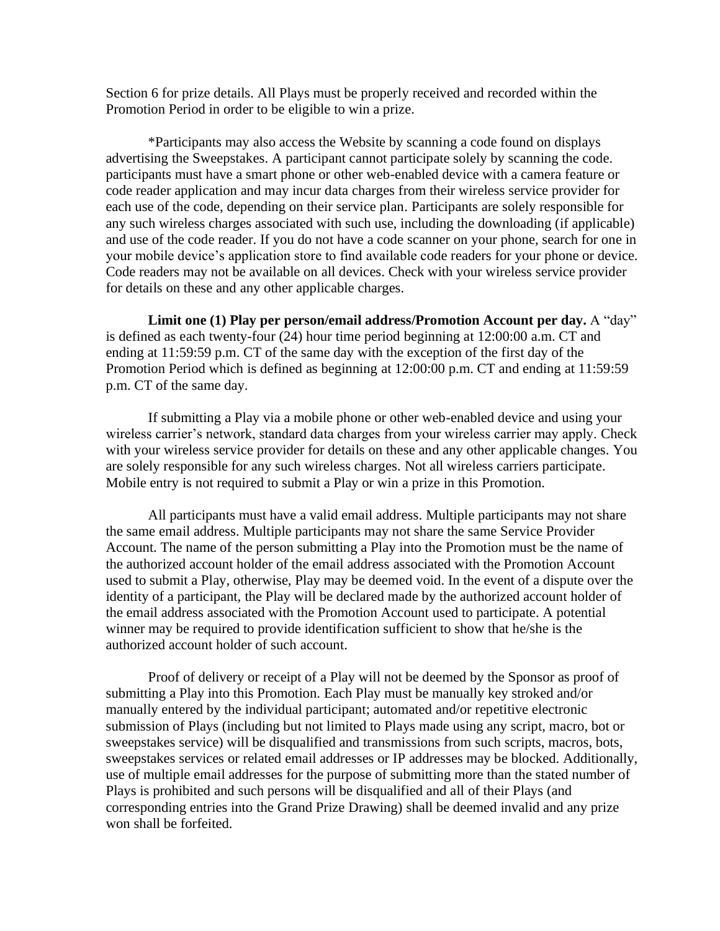Section 6 for prize details. All Plays must be properly received and recorded within the Promotion Period in order to be eligible to win a prize.

\*Participants may also access the Website by scanning a code found on displays advertising the Sweepstakes. A participant cannot participate solely by scanning the code. participants must have a smart phone or other web-enabled device with a camera feature or code reader application and may incur data charges from their wireless service provider for each use of the code, depending on their service plan. Participants are solely responsible for any such wireless charges associated with such use, including the downloading (if applicable) and use of the code reader. If you do not have a code scanner on your phone, search for one in your mobile device's application store to find available code readers for your phone or device. Code readers may not be available on all devices. Check with your wireless service provider for details on these and any other applicable charges.

**Limit one (1) Play per person/email address/Promotion Account per day.** A "day" is defined as each twenty-four (24) hour time period beginning at 12:00:00 a.m. CT and ending at 11:59:59 p.m. CT of the same day with the exception of the first day of the Promotion Period which is defined as beginning at 12:00:00 p.m. CT and ending at 11:59:59 p.m. CT of the same day.

If submitting a Play via a mobile phone or other web-enabled device and using your wireless carrier's network, standard data charges from your wireless carrier may apply. Check with your wireless service provider for details on these and any other applicable changes. You are solely responsible for any such wireless charges. Not all wireless carriers participate. Mobile entry is not required to submit a Play or win a prize in this Promotion.

All participants must have a valid email address. Multiple participants may not share the same email address. Multiple participants may not share the same Service Provider Account. The name of the person submitting a Play into the Promotion must be the name of the authorized account holder of the email address associated with the Promotion Account used to submit a Play, otherwise, Play may be deemed void. In the event of a dispute over the identity of a participant, the Play will be declared made by the authorized account holder of the email address associated with the Promotion Account used to participate. A potential winner may be required to provide identification sufficient to show that he/she is the authorized account holder of such account.

Proof of delivery or receipt of a Play will not be deemed by the Sponsor as proof of submitting a Play into this Promotion. Each Play must be manually key stroked and/or manually entered by the individual participant; automated and/or repetitive electronic submission of Plays (including but not limited to Plays made using any script, macro, bot or sweepstakes service) will be disqualified and transmissions from such scripts, macros, bots, sweepstakes services or related email addresses or IP addresses may be blocked. Additionally, use of multiple email addresses for the purpose of submitting more than the stated number of Plays is prohibited and such persons will be disqualified and all of their Plays (and corresponding entries into the Grand Prize Drawing) shall be deemed invalid and any prize won shall be forfeited.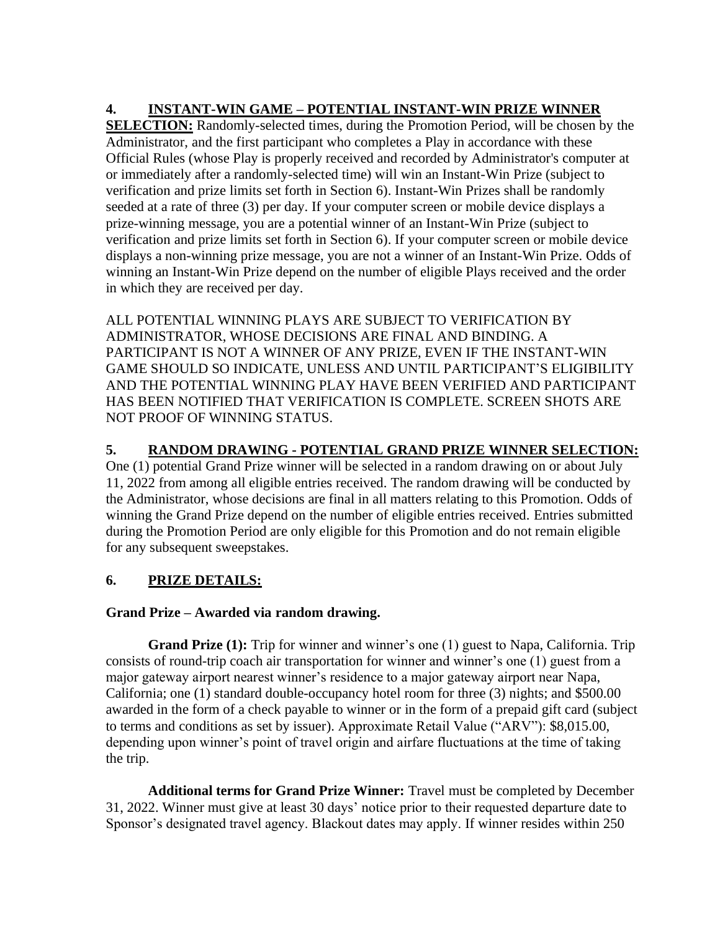# **4. INSTANT-WIN GAME – POTENTIAL INSTANT-WIN PRIZE WINNER**

**SELECTION:** Randomly-selected times, during the Promotion Period, will be chosen by the Administrator, and the first participant who completes a Play in accordance with these Official Rules (whose Play is properly received and recorded by Administrator's computer at or immediately after a randomly-selected time) will win an Instant-Win Prize (subject to verification and prize limits set forth in Section 6). Instant-Win Prizes shall be randomly seeded at a rate of three (3) per day. If your computer screen or mobile device displays a prize-winning message, you are a potential winner of an Instant-Win Prize (subject to verification and prize limits set forth in Section 6). If your computer screen or mobile device displays a non-winning prize message, you are not a winner of an Instant-Win Prize. Odds of winning an Instant-Win Prize depend on the number of eligible Plays received and the order in which they are received per day.

ALL POTENTIAL WINNING PLAYS ARE SUBJECT TO VERIFICATION BY ADMINISTRATOR, WHOSE DECISIONS ARE FINAL AND BINDING. A PARTICIPANT IS NOT A WINNER OF ANY PRIZE, EVEN IF THE INSTANT-WIN GAME SHOULD SO INDICATE, UNLESS AND UNTIL PARTICIPANT'S ELIGIBILITY AND THE POTENTIAL WINNING PLAY HAVE BEEN VERIFIED AND PARTICIPANT HAS BEEN NOTIFIED THAT VERIFICATION IS COMPLETE. SCREEN SHOTS ARE NOT PROOF OF WINNING STATUS.

## **5. RANDOM DRAWING - POTENTIAL GRAND PRIZE WINNER SELECTION:**

One (1) potential Grand Prize winner will be selected in a random drawing on or about July 11, 2022 from among all eligible entries received. The random drawing will be conducted by the Administrator, whose decisions are final in all matters relating to this Promotion. Odds of winning the Grand Prize depend on the number of eligible entries received. Entries submitted during the Promotion Period are only eligible for this Promotion and do not remain eligible for any subsequent sweepstakes.

## **6. PRIZE DETAILS:**

### **Grand Prize – Awarded via random drawing.**

**Grand Prize (1):** Trip for winner and winner's one (1) guest to Napa, California. Trip consists of round-trip coach air transportation for winner and winner's one (1) guest from a major gateway airport nearest winner's residence to a major gateway airport near Napa, California; one (1) standard double-occupancy hotel room for three (3) nights; and \$500.00 awarded in the form of a check payable to winner or in the form of a prepaid gift card (subject to terms and conditions as set by issuer). Approximate Retail Value ("ARV"): \$8,015.00, depending upon winner's point of travel origin and airfare fluctuations at the time of taking the trip.

**Additional terms for Grand Prize Winner:** Travel must be completed by December 31, 2022. Winner must give at least 30 days' notice prior to their requested departure date to Sponsor's designated travel agency. Blackout dates may apply. If winner resides within 250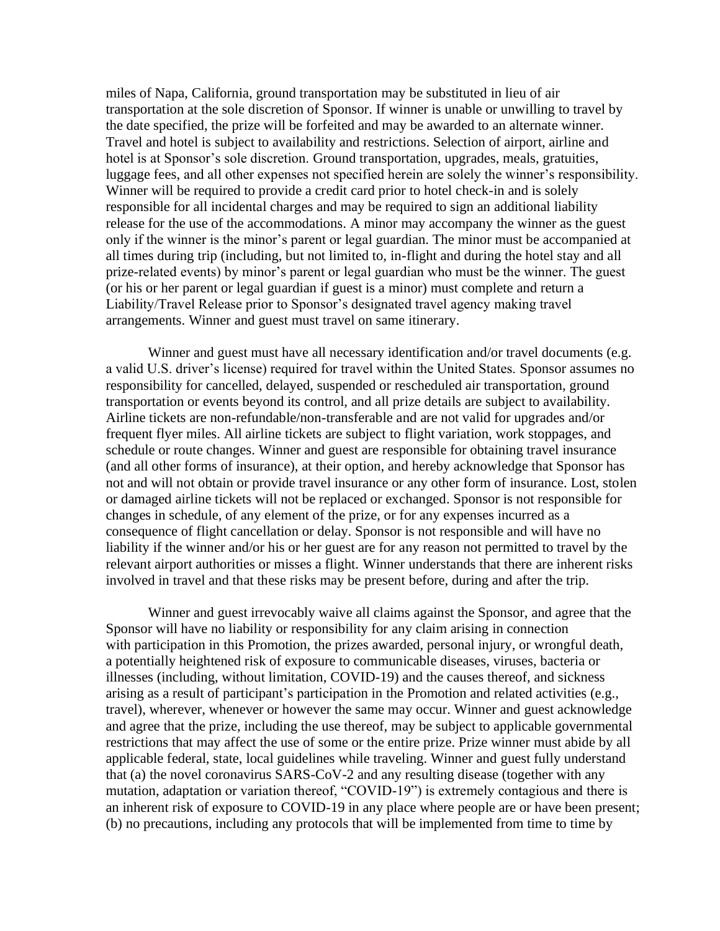miles of Napa, California, ground transportation may be substituted in lieu of air transportation at the sole discretion of Sponsor. If winner is unable or unwilling to travel by the date specified, the prize will be forfeited and may be awarded to an alternate winner. Travel and hotel is subject to availability and restrictions. Selection of airport, airline and hotel is at Sponsor's sole discretion. Ground transportation, upgrades, meals, gratuities, luggage fees, and all other expenses not specified herein are solely the winner's responsibility. Winner will be required to provide a credit card prior to hotel check-in and is solely responsible for all incidental charges and may be required to sign an additional liability release for the use of the accommodations. A minor may accompany the winner as the guest only if the winner is the minor's parent or legal guardian. The minor must be accompanied at all times during trip (including, but not limited to, in-flight and during the hotel stay and all prize-related events) by minor's parent or legal guardian who must be the winner. The guest (or his or her parent or legal guardian if guest is a minor) must complete and return a Liability/Travel Release prior to Sponsor's designated travel agency making travel arrangements. Winner and guest must travel on same itinerary.

Winner and guest must have all necessary identification and/or travel documents (e.g. a valid U.S. driver's license) required for travel within the United States. Sponsor assumes no responsibility for cancelled, delayed, suspended or rescheduled air transportation, ground transportation or events beyond its control, and all prize details are subject to availability. Airline tickets are non-refundable/non-transferable and are not valid for upgrades and/or frequent flyer miles. All airline tickets are subject to flight variation, work stoppages, and schedule or route changes. Winner and guest are responsible for obtaining travel insurance (and all other forms of insurance), at their option, and hereby acknowledge that Sponsor has not and will not obtain or provide travel insurance or any other form of insurance. Lost, stolen or damaged airline tickets will not be replaced or exchanged. Sponsor is not responsible for changes in schedule, of any element of the prize, or for any expenses incurred as a consequence of flight cancellation or delay. Sponsor is not responsible and will have no liability if the winner and/or his or her guest are for any reason not permitted to travel by the relevant airport authorities or misses a flight. Winner understands that there are inherent risks involved in travel and that these risks may be present before, during and after the trip.

Winner and guest irrevocably waive all claims against the Sponsor, and agree that the Sponsor will have no liability or responsibility for any claim arising in connection with participation in this Promotion, the prizes awarded, personal injury, or wrongful death, a potentially heightened risk of exposure to communicable diseases, viruses, bacteria or illnesses (including, without limitation, COVID-19) and the causes thereof, and sickness arising as a result of participant's participation in the Promotion and related activities (e.g., travel), wherever, whenever or however the same may occur. Winner and guest acknowledge and agree that the prize, including the use thereof, may be subject to applicable governmental restrictions that may affect the use of some or the entire prize. Prize winner must abide by all applicable federal, state, local guidelines while traveling. Winner and guest fully understand that (a) the novel coronavirus SARS-CoV-2 and any resulting disease (together with any mutation, adaptation or variation thereof, "COVID-19") is extremely contagious and there is an inherent risk of exposure to COVID-19 in any place where people are or have been present; (b) no precautions, including any protocols that will be implemented from time to time by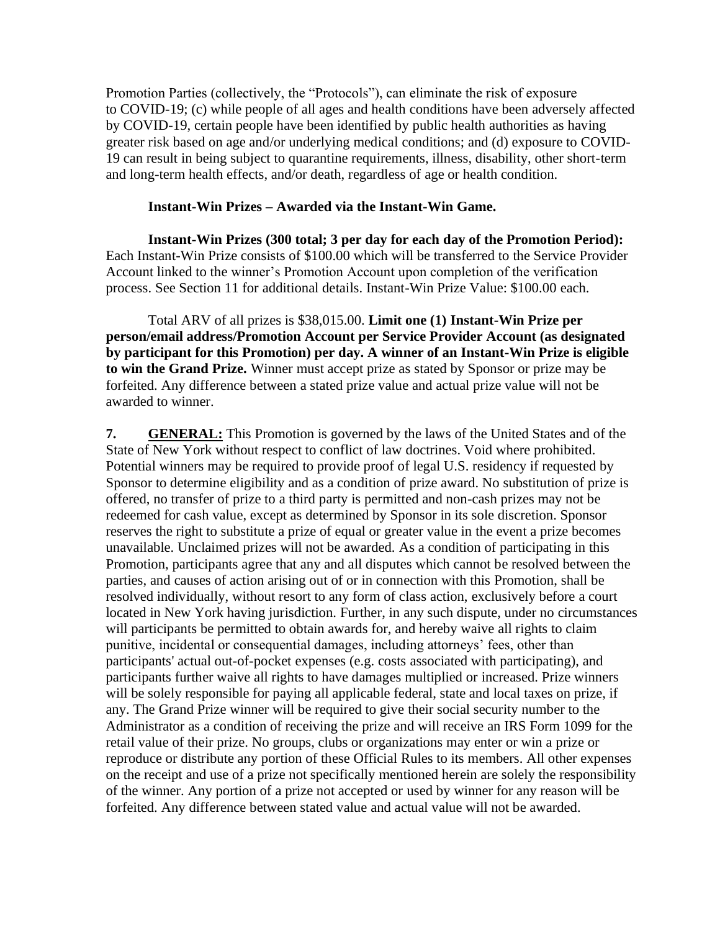Promotion Parties (collectively, the "Protocols"), can eliminate the risk of exposure to COVID-19; (c) while people of all ages and health conditions have been adversely affected by COVID-19, certain people have been identified by public health authorities as having greater risk based on age and/or underlying medical conditions; and (d) exposure to COVID-19 can result in being subject to quarantine requirements, illness, disability, other short-term and long-term health effects, and/or death, regardless of age or health condition.

#### **Instant-Win Prizes – Awarded via the Instant-Win Game.**

**Instant-Win Prizes (300 total; 3 per day for each day of the Promotion Period):** Each Instant-Win Prize consists of \$100.00 which will be transferred to the Service Provider Account linked to the winner's Promotion Account upon completion of the verification process. See Section 11 for additional details. Instant-Win Prize Value: \$100.00 each.

Total ARV of all prizes is \$38,015.00. **Limit one (1) Instant-Win Prize per person/email address/Promotion Account per Service Provider Account (as designated by participant for this Promotion) per day. A winner of an Instant-Win Prize is eligible to win the Grand Prize.** Winner must accept prize as stated by Sponsor or prize may be forfeited. Any difference between a stated prize value and actual prize value will not be awarded to winner.

**7. GENERAL:** This Promotion is governed by the laws of the United States and of the State of New York without respect to conflict of law doctrines. Void where prohibited. Potential winners may be required to provide proof of legal U.S. residency if requested by Sponsor to determine eligibility and as a condition of prize award. No substitution of prize is offered, no transfer of prize to a third party is permitted and non-cash prizes may not be redeemed for cash value, except as determined by Sponsor in its sole discretion. Sponsor reserves the right to substitute a prize of equal or greater value in the event a prize becomes unavailable. Unclaimed prizes will not be awarded. As a condition of participating in this Promotion, participants agree that any and all disputes which cannot be resolved between the parties, and causes of action arising out of or in connection with this Promotion, shall be resolved individually, without resort to any form of class action, exclusively before a court located in New York having jurisdiction. Further, in any such dispute, under no circumstances will participants be permitted to obtain awards for, and hereby waive all rights to claim punitive, incidental or consequential damages, including attorneys' fees, other than participants' actual out-of-pocket expenses (e.g. costs associated with participating), and participants further waive all rights to have damages multiplied or increased. Prize winners will be solely responsible for paying all applicable federal, state and local taxes on prize, if any. The Grand Prize winner will be required to give their social security number to the Administrator as a condition of receiving the prize and will receive an IRS Form 1099 for the retail value of their prize. No groups, clubs or organizations may enter or win a prize or reproduce or distribute any portion of these Official Rules to its members. All other expenses on the receipt and use of a prize not specifically mentioned herein are solely the responsibility of the winner. Any portion of a prize not accepted or used by winner for any reason will be forfeited. Any difference between stated value and actual value will not be awarded.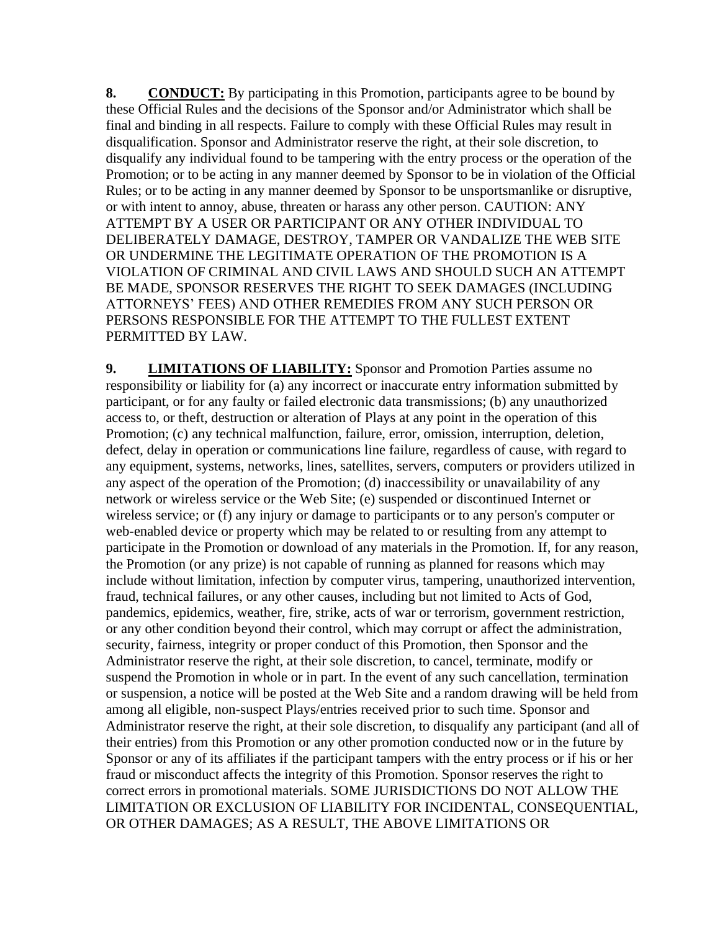**8.** CONDUCT: By participating in this Promotion, participants agree to be bound by these Official Rules and the decisions of the Sponsor and/or Administrator which shall be final and binding in all respects. Failure to comply with these Official Rules may result in disqualification. Sponsor and Administrator reserve the right, at their sole discretion, to disqualify any individual found to be tampering with the entry process or the operation of the Promotion; or to be acting in any manner deemed by Sponsor to be in violation of the Official Rules; or to be acting in any manner deemed by Sponsor to be unsportsmanlike or disruptive, or with intent to annoy, abuse, threaten or harass any other person. CAUTION: ANY ATTEMPT BY A USER OR PARTICIPANT OR ANY OTHER INDIVIDUAL TO DELIBERATELY DAMAGE, DESTROY, TAMPER OR VANDALIZE THE WEB SITE OR UNDERMINE THE LEGITIMATE OPERATION OF THE PROMOTION IS A VIOLATION OF CRIMINAL AND CIVIL LAWS AND SHOULD SUCH AN ATTEMPT BE MADE, SPONSOR RESERVES THE RIGHT TO SEEK DAMAGES (INCLUDING ATTORNEYS' FEES) AND OTHER REMEDIES FROM ANY SUCH PERSON OR PERSONS RESPONSIBLE FOR THE ATTEMPT TO THE FULLEST EXTENT PERMITTED BY LAW.

**9. LIMITATIONS OF LIABILITY:** Sponsor and Promotion Parties assume no responsibility or liability for (a) any incorrect or inaccurate entry information submitted by participant, or for any faulty or failed electronic data transmissions; (b) any unauthorized access to, or theft, destruction or alteration of Plays at any point in the operation of this Promotion; (c) any technical malfunction, failure, error, omission, interruption, deletion, defect, delay in operation or communications line failure, regardless of cause, with regard to any equipment, systems, networks, lines, satellites, servers, computers or providers utilized in any aspect of the operation of the Promotion; (d) inaccessibility or unavailability of any network or wireless service or the Web Site; (e) suspended or discontinued Internet or wireless service; or (f) any injury or damage to participants or to any person's computer or web-enabled device or property which may be related to or resulting from any attempt to participate in the Promotion or download of any materials in the Promotion. If, for any reason, the Promotion (or any prize) is not capable of running as planned for reasons which may include without limitation, infection by computer virus, tampering, unauthorized intervention, fraud, technical failures, or any other causes, including but not limited to Acts of God, pandemics, epidemics, weather, fire, strike, acts of war or terrorism, government restriction, or any other condition beyond their control, which may corrupt or affect the administration, security, fairness, integrity or proper conduct of this Promotion, then Sponsor and the Administrator reserve the right, at their sole discretion, to cancel, terminate, modify or suspend the Promotion in whole or in part. In the event of any such cancellation, termination or suspension, a notice will be posted at the Web Site and a random drawing will be held from among all eligible, non-suspect Plays/entries received prior to such time. Sponsor and Administrator reserve the right, at their sole discretion, to disqualify any participant (and all of their entries) from this Promotion or any other promotion conducted now or in the future by Sponsor or any of its affiliates if the participant tampers with the entry process or if his or her fraud or misconduct affects the integrity of this Promotion. Sponsor reserves the right to correct errors in promotional materials. SOME JURISDICTIONS DO NOT ALLOW THE LIMITATION OR EXCLUSION OF LIABILITY FOR INCIDENTAL, CONSEQUENTIAL, OR OTHER DAMAGES; AS A RESULT, THE ABOVE LIMITATIONS OR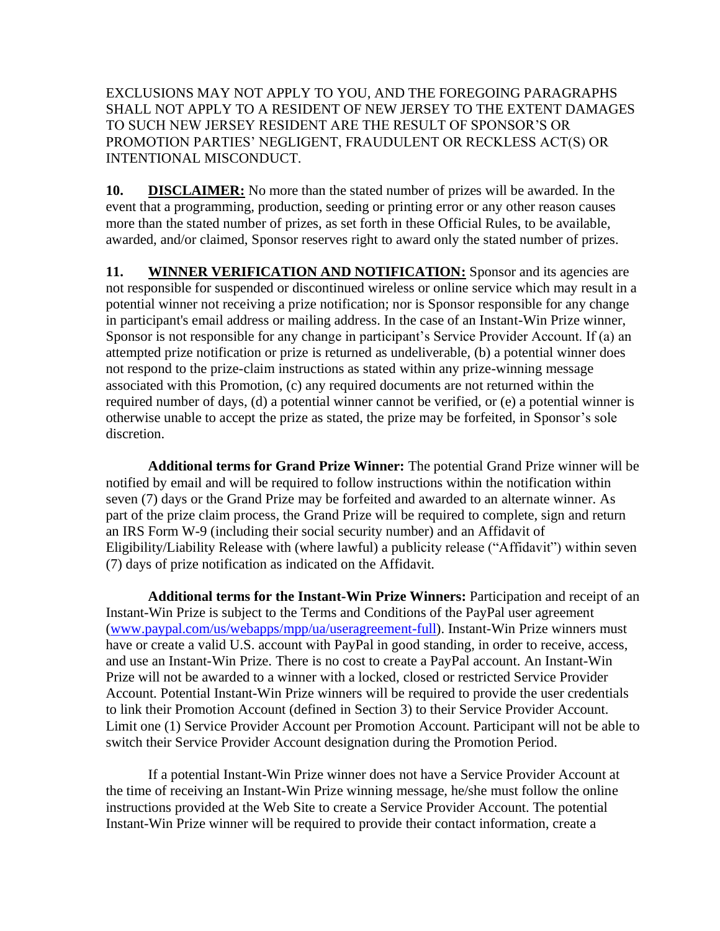EXCLUSIONS MAY NOT APPLY TO YOU, AND THE FOREGOING PARAGRAPHS SHALL NOT APPLY TO A RESIDENT OF NEW JERSEY TO THE EXTENT DAMAGES TO SUCH NEW JERSEY RESIDENT ARE THE RESULT OF SPONSOR'S OR PROMOTION PARTIES' NEGLIGENT, FRAUDULENT OR RECKLESS ACT(S) OR INTENTIONAL MISCONDUCT.

**10. DISCLAIMER:** No more than the stated number of prizes will be awarded. In the event that a programming, production, seeding or printing error or any other reason causes more than the stated number of prizes, as set forth in these Official Rules, to be available, awarded, and/or claimed, Sponsor reserves right to award only the stated number of prizes.

11. **WINNER VERIFICATION AND NOTIFICATION:** Sponsor and its agencies are not responsible for suspended or discontinued wireless or online service which may result in a potential winner not receiving a prize notification; nor is Sponsor responsible for any change in participant's email address or mailing address. In the case of an Instant-Win Prize winner, Sponsor is not responsible for any change in participant's Service Provider Account. If (a) an attempted prize notification or prize is returned as undeliverable, (b) a potential winner does not respond to the prize-claim instructions as stated within any prize-winning message associated with this Promotion, (c) any required documents are not returned within the required number of days, (d) a potential winner cannot be verified, or (e) a potential winner is otherwise unable to accept the prize as stated, the prize may be forfeited, in Sponsor's sole discretion.

**Additional terms for Grand Prize Winner:** The potential Grand Prize winner will be notified by email and will be required to follow instructions within the notification within seven (7) days or the Grand Prize may be forfeited and awarded to an alternate winner. As part of the prize claim process, the Grand Prize will be required to complete, sign and return an IRS Form W-9 (including their social security number) and an Affidavit of Eligibility/Liability Release with (where lawful) a publicity release ("Affidavit") within seven (7) days of prize notification as indicated on the Affidavit.

**Additional terms for the Instant-Win Prize Winners:** Participation and receipt of an Instant-Win Prize is subject to the Terms and Conditions of the PayPal user agreement [\(www.paypal.com/us/webapps/mpp/ua/useragreement-full\)](http://www.paypal.com/us/webapps/mpp/ua/useragreement-full). Instant-Win Prize winners must have or create a valid U.S. account with PayPal in good standing, in order to receive, access, and use an Instant-Win Prize. There is no cost to create a PayPal account. An Instant-Win Prize will not be awarded to a winner with a locked, closed or restricted Service Provider Account. Potential Instant-Win Prize winners will be required to provide the user credentials to link their Promotion Account (defined in Section 3) to their Service Provider Account. Limit one (1) Service Provider Account per Promotion Account. Participant will not be able to switch their Service Provider Account designation during the Promotion Period.

If a potential Instant-Win Prize winner does not have a Service Provider Account at the time of receiving an Instant-Win Prize winning message, he/she must follow the online instructions provided at the Web Site to create a Service Provider Account. The potential Instant-Win Prize winner will be required to provide their contact information, create a